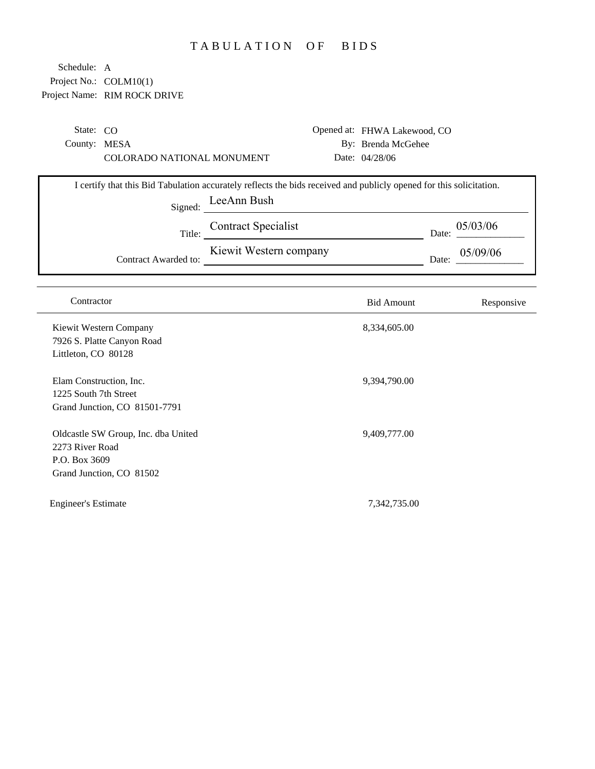## TABULATION OF BIDS

| State: $CO$  |                            | Opened at: FHWA Lakewood, CO |
|--------------|----------------------------|------------------------------|
| County: MESA |                            | By: Brenda McGehee           |
|              | COLORADO NATIONAL MONUMENT | Date: $04/28/06$             |
|              |                            |                              |

| I certify that this Bid Tabulation accurately reflects the bids received and publicly opened for this solicitation. |                            |                   |  |  |
|---------------------------------------------------------------------------------------------------------------------|----------------------------|-------------------|--|--|
| Signed:                                                                                                             | LeeAnn Bush                |                   |  |  |
| Title:                                                                                                              | <b>Contract Specialist</b> | 05/03/06<br>Date: |  |  |
| Contract Awarded to:                                                                                                | Kiewit Western company     | 05/09/06<br>Date: |  |  |

| Contractor                                                                                          | <b>Bid Amount</b> | Responsive |
|-----------------------------------------------------------------------------------------------------|-------------------|------------|
| Kiewit Western Company<br>7926 S. Platte Canyon Road<br>Littleton, CO 80128                         | 8,334,605.00      |            |
| Elam Construction, Inc.<br>1225 South 7th Street<br>Grand Junction, CO 81501-7791                   | 9,394,790.00      |            |
| Oldcastle SW Group, Inc. dba United<br>2273 River Road<br>P.O. Box 3609<br>Grand Junction, CO 81502 | 9,409,777.00      |            |
| Engineer's Estimate                                                                                 | 7,342,735.00      |            |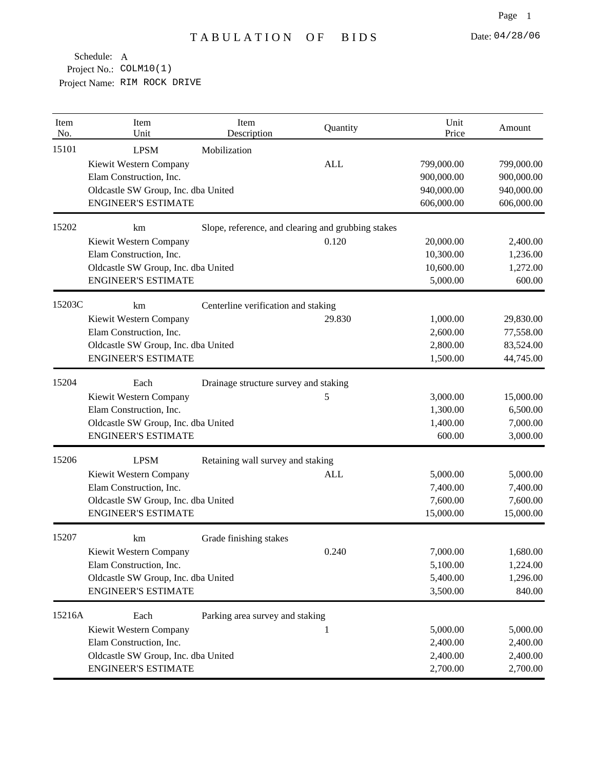| Item<br>No. | Item<br>Unit                        | Item<br>Description                   | Quantity                                           | Unit<br>Price | Amount     |
|-------------|-------------------------------------|---------------------------------------|----------------------------------------------------|---------------|------------|
| 15101       | <b>LPSM</b>                         | Mobilization                          |                                                    |               |            |
|             | Kiewit Western Company              |                                       | <b>ALL</b>                                         | 799,000.00    | 799,000.00 |
|             | Elam Construction, Inc.             |                                       |                                                    | 900,000.00    | 900,000.00 |
|             | Oldcastle SW Group, Inc. dba United |                                       |                                                    | 940,000.00    | 940,000.00 |
|             | <b>ENGINEER'S ESTIMATE</b>          |                                       |                                                    | 606,000.00    | 606,000.00 |
| 15202       | km                                  |                                       | Slope, reference, and clearing and grubbing stakes |               |            |
|             | Kiewit Western Company              |                                       | 0.120                                              | 20,000.00     | 2,400.00   |
|             | Elam Construction, Inc.             |                                       |                                                    | 10,300.00     | 1,236.00   |
|             | Oldcastle SW Group, Inc. dba United |                                       |                                                    | 10,600.00     | 1,272.00   |
|             | <b>ENGINEER'S ESTIMATE</b>          |                                       |                                                    | 5,000.00      | 600.00     |
| 15203C      | km                                  | Centerline verification and staking   |                                                    |               |            |
|             | Kiewit Western Company              |                                       | 29.830                                             | 1,000.00      | 29,830.00  |
|             | Elam Construction, Inc.             |                                       |                                                    | 2,600.00      | 77,558.00  |
|             | Oldcastle SW Group, Inc. dba United |                                       |                                                    | 2,800.00      | 83,524.00  |
|             | <b>ENGINEER'S ESTIMATE</b>          |                                       |                                                    | 1,500.00      | 44,745.00  |
| 15204       | Each                                | Drainage structure survey and staking |                                                    |               |            |
|             | Kiewit Western Company              |                                       | 5                                                  | 3,000.00      | 15,000.00  |
|             | Elam Construction, Inc.             |                                       |                                                    | 1,300.00      | 6,500.00   |
|             | Oldcastle SW Group, Inc. dba United |                                       |                                                    | 1,400.00      | 7,000.00   |
|             | <b>ENGINEER'S ESTIMATE</b>          |                                       |                                                    | 600.00        | 3,000.00   |
| 15206       | <b>LPSM</b>                         | Retaining wall survey and staking     |                                                    |               |            |
|             | Kiewit Western Company              |                                       | ALL                                                | 5,000.00      | 5,000.00   |
|             | Elam Construction, Inc.             |                                       |                                                    | 7,400.00      | 7,400.00   |
|             | Oldcastle SW Group, Inc. dba United |                                       |                                                    | 7,600.00      | 7,600.00   |
|             | <b>ENGINEER'S ESTIMATE</b>          |                                       |                                                    | 15,000.00     | 15,000.00  |
| 15207       | km                                  | Grade finishing stakes                |                                                    |               |            |
|             | Kiewit Western Company              |                                       | 0.240                                              | 7,000.00      | 1,680.00   |
|             | Elam Construction, Inc.             |                                       |                                                    | 5,100.00      | 1,224.00   |
|             | Oldcastle SW Group, Inc. dba United |                                       |                                                    | 5,400.00      | 1,296.00   |
|             | <b>ENGINEER'S ESTIMATE</b>          |                                       |                                                    | 3,500.00      | 840.00     |
| 15216A      | Each                                | Parking area survey and staking       |                                                    |               |            |
|             | Kiewit Western Company              |                                       | 1                                                  | 5,000.00      | 5,000.00   |
|             | Elam Construction, Inc.             |                                       |                                                    | 2,400.00      | 2,400.00   |
|             | Oldcastle SW Group, Inc. dba United |                                       |                                                    | 2,400.00      | 2,400.00   |
|             | <b>ENGINEER'S ESTIMATE</b>          |                                       |                                                    | 2,700.00      | 2,700.00   |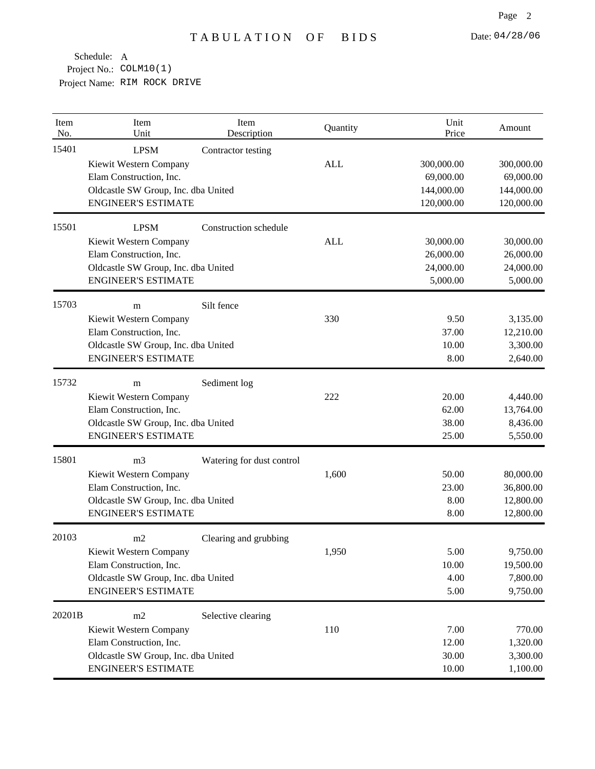| Item<br>No. | Item<br>Unit                        | Item<br>Description       | Quantity   | Unit<br>Price | Amount     |
|-------------|-------------------------------------|---------------------------|------------|---------------|------------|
| 15401       | <b>LPSM</b>                         | Contractor testing        |            |               |            |
|             | Kiewit Western Company              |                           | <b>ALL</b> | 300,000.00    | 300,000.00 |
|             | Elam Construction, Inc.             |                           |            | 69,000.00     | 69,000.00  |
|             | Oldcastle SW Group, Inc. dba United |                           |            | 144,000.00    | 144,000.00 |
|             | <b>ENGINEER'S ESTIMATE</b>          |                           |            | 120,000.00    | 120,000.00 |
| 15501       | <b>LPSM</b>                         | Construction schedule     |            |               |            |
|             | Kiewit Western Company              |                           | <b>ALL</b> | 30,000.00     | 30,000.00  |
|             | Elam Construction, Inc.             |                           |            | 26,000.00     | 26,000.00  |
|             | Oldcastle SW Group, Inc. dba United |                           |            | 24,000.00     | 24,000.00  |
|             | <b>ENGINEER'S ESTIMATE</b>          |                           |            | 5,000.00      | 5,000.00   |
| 15703       | m                                   | Silt fence                |            |               |            |
| 15732       | Kiewit Western Company              |                           | 330        | 9.50          | 3,135.00   |
|             | Elam Construction, Inc.             |                           |            | 37.00         | 12,210.00  |
|             | Oldcastle SW Group, Inc. dba United |                           |            | 10.00         | 3,300.00   |
|             | <b>ENGINEER'S ESTIMATE</b>          |                           |            | 8.00          | 2,640.00   |
|             | m                                   | Sediment log              |            |               |            |
|             | Kiewit Western Company              |                           | 222        | 20.00         | 4,440.00   |
|             | Elam Construction, Inc.             |                           |            | 62.00         | 13,764.00  |
|             | Oldcastle SW Group, Inc. dba United |                           |            | 38.00         | 8,436.00   |
|             | <b>ENGINEER'S ESTIMATE</b>          |                           |            | 25.00         | 5,550.00   |
| 15801       | m <sub>3</sub>                      | Watering for dust control |            |               |            |
|             | Kiewit Western Company              |                           | 1,600      | 50.00         | 80,000.00  |
|             | Elam Construction, Inc.             |                           |            | 23.00         | 36,800.00  |
|             | Oldcastle SW Group, Inc. dba United |                           |            | 8.00          | 12,800.00  |
|             | <b>ENGINEER'S ESTIMATE</b>          |                           |            | 8.00          | 12,800.00  |
| 20103       | m2                                  | Clearing and grubbing     |            |               |            |
|             | Kiewit Western Company              |                           | 1,950      | 5.00          | 9,750.00   |
|             | Elam Construction, Inc.             |                           |            | 10.00         | 19,500.00  |
|             | Oldcastle SW Group, Inc. dba United |                           |            | 4.00          | 7,800.00   |
|             | <b>ENGINEER'S ESTIMATE</b>          |                           |            | 5.00          | 9,750.00   |
| 20201B      | m2                                  | Selective clearing        |            |               |            |
|             | Kiewit Western Company              |                           | 110        | 7.00          | 770.00     |
|             | Elam Construction, Inc.             |                           |            | 12.00         | 1,320.00   |
|             | Oldcastle SW Group, Inc. dba United |                           |            | 30.00         | 3,300.00   |
|             | <b>ENGINEER'S ESTIMATE</b>          |                           |            | 10.00         | 1,100.00   |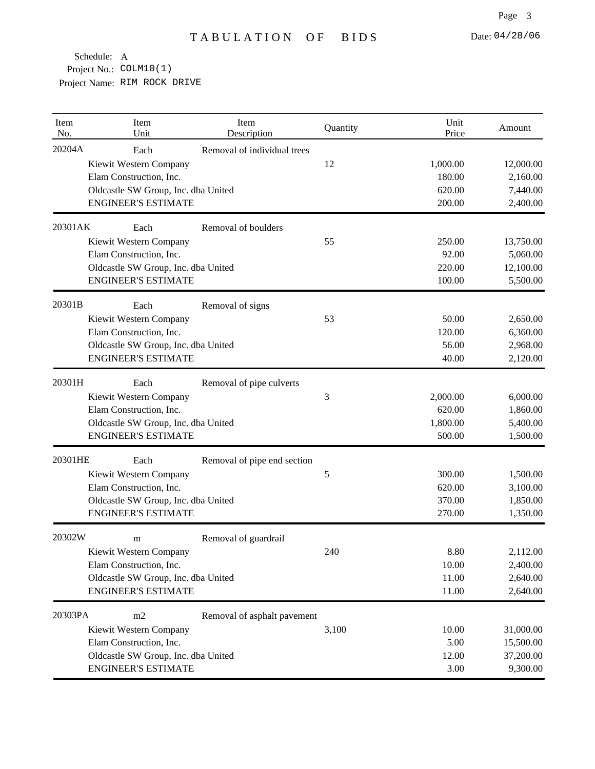| Item<br>No. | Item<br>Unit                        | Item<br>Description         | Quantity   | Unit<br>Price | Amount    |
|-------------|-------------------------------------|-----------------------------|------------|---------------|-----------|
| 20204A      | Each                                | Removal of individual trees |            |               |           |
|             | Kiewit Western Company              |                             | 12         | 1,000.00      | 12,000.00 |
|             | Elam Construction, Inc.             |                             |            | 180.00        | 2,160.00  |
|             | Oldcastle SW Group, Inc. dba United |                             |            | 620.00        | 7,440.00  |
|             | <b>ENGINEER'S ESTIMATE</b>          |                             |            | 200.00        | 2,400.00  |
| 20301AK     | Each                                | Removal of boulders         |            |               |           |
|             | Kiewit Western Company              |                             | 55         | 250.00        | 13,750.00 |
|             | Elam Construction, Inc.             |                             |            | 92.00         | 5,060.00  |
|             | Oldcastle SW Group, Inc. dba United |                             |            | 220.00        | 12,100.00 |
|             | <b>ENGINEER'S ESTIMATE</b>          |                             |            | 100.00        | 5,500.00  |
| 20301B      | Each                                | Removal of signs            |            |               |           |
|             | Kiewit Western Company              |                             | 53         | 50.00         | 2,650.00  |
|             | Elam Construction, Inc.             |                             |            | 120.00        | 6,360.00  |
|             | Oldcastle SW Group, Inc. dba United |                             |            | 56.00         | 2,968.00  |
|             | <b>ENGINEER'S ESTIMATE</b>          |                             |            | 40.00         | 2,120.00  |
| 20301H      | Each                                | Removal of pipe culverts    |            |               |           |
|             | Kiewit Western Company              |                             | 3          | 2,000.00      | 6,000.00  |
|             | Elam Construction, Inc.             |                             |            | 620.00        | 1,860.00  |
|             | Oldcastle SW Group, Inc. dba United |                             |            | 1,800.00      | 5,400.00  |
|             | <b>ENGINEER'S ESTIMATE</b>          |                             |            | 500.00        | 1,500.00  |
| 20301HE     | Each                                | Removal of pipe end section |            |               |           |
|             | Kiewit Western Company              |                             | $\sqrt{5}$ | 300.00        | 1,500.00  |
|             | Elam Construction, Inc.             |                             |            | 620.00        | 3,100.00  |
|             | Oldcastle SW Group, Inc. dba United |                             |            | 370.00        | 1,850.00  |
|             | <b>ENGINEER'S ESTIMATE</b>          |                             |            | 270.00        | 1,350.00  |
| 20302W      | m                                   | Removal of guardrail        |            |               |           |
|             | Kiewit Western Company              |                             | 240        | 8.80          | 2,112.00  |
|             | Elam Construction, Inc.             |                             |            | 10.00         | 2,400.00  |
|             | Oldcastle SW Group, Inc. dba United |                             |            | 11.00         | 2,640.00  |
|             | <b>ENGINEER'S ESTIMATE</b>          |                             |            | 11.00         | 2,640.00  |
| 20303PA     | m2                                  | Removal of asphalt pavement |            |               |           |
|             | Kiewit Western Company              |                             | 3,100      | 10.00         | 31,000.00 |
|             | Elam Construction, Inc.             |                             |            | 5.00          | 15,500.00 |
|             | Oldcastle SW Group, Inc. dba United |                             |            | 12.00         | 37,200.00 |
|             | <b>ENGINEER'S ESTIMATE</b>          |                             |            | 3.00          | 9,300.00  |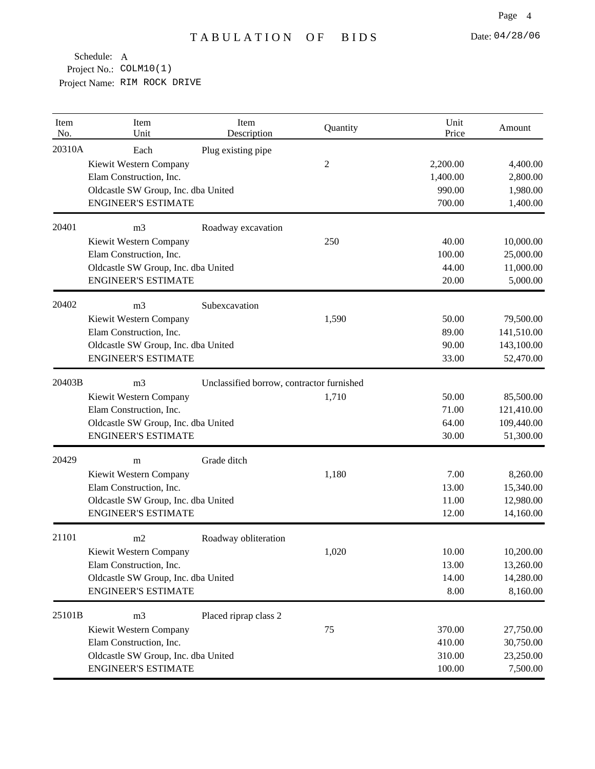| Item<br>No. | Item<br>Unit                        | Item<br>Description                       | Quantity | Unit<br>Price | Amount     |
|-------------|-------------------------------------|-------------------------------------------|----------|---------------|------------|
| 20310A      | Each                                | Plug existing pipe                        |          |               |            |
|             | Kiewit Western Company              |                                           | 2        | 2,200.00      | 4,400.00   |
|             | Elam Construction, Inc.             |                                           |          | 1,400.00      | 2,800.00   |
|             | Oldcastle SW Group, Inc. dba United |                                           |          | 990.00        | 1,980.00   |
|             | <b>ENGINEER'S ESTIMATE</b>          |                                           |          | 700.00        | 1,400.00   |
| 20401       | m <sub>3</sub>                      | Roadway excavation                        |          |               |            |
|             | Kiewit Western Company              |                                           | 250      | 40.00         | 10,000.00  |
|             | Elam Construction, Inc.             |                                           |          | 100.00        | 25,000.00  |
|             | Oldcastle SW Group, Inc. dba United |                                           |          | 44.00         | 11,000.00  |
|             | <b>ENGINEER'S ESTIMATE</b>          |                                           |          | 20.00         | 5,000.00   |
| 20402       | m <sub>3</sub>                      | Subexcavation                             |          |               |            |
|             | Kiewit Western Company              |                                           | 1,590    | 50.00         | 79,500.00  |
|             | Elam Construction, Inc.             |                                           |          | 89.00         | 141,510.00 |
|             | Oldcastle SW Group, Inc. dba United |                                           |          | 90.00         | 143,100.00 |
|             | <b>ENGINEER'S ESTIMATE</b>          |                                           |          | 33.00         | 52,470.00  |
| 20403B      | m <sub>3</sub>                      | Unclassified borrow, contractor furnished |          |               |            |
|             | Kiewit Western Company              |                                           | 1,710    | 50.00         | 85,500.00  |
|             | Elam Construction, Inc.             |                                           |          | 71.00         | 121,410.00 |
|             | Oldcastle SW Group, Inc. dba United |                                           |          | 64.00         | 109,440.00 |
|             | <b>ENGINEER'S ESTIMATE</b>          |                                           |          | 30.00         | 51,300.00  |
| 20429       | m                                   | Grade ditch                               |          |               |            |
|             | Kiewit Western Company              |                                           | 1,180    | 7.00          | 8,260.00   |
|             | Elam Construction, Inc.             |                                           |          | 13.00         | 15,340.00  |
|             | Oldcastle SW Group, Inc. dba United |                                           |          | 11.00         | 12,980.00  |
|             | <b>ENGINEER'S ESTIMATE</b>          |                                           |          | 12.00         | 14,160.00  |
| 21101       | m2                                  | Roadway obliteration                      |          |               |            |
|             | Kiewit Western Company              |                                           | 1,020    | 10.00         | 10,200.00  |
|             | Elam Construction, Inc.             |                                           |          | 13.00         | 13,260.00  |
|             | Oldcastle SW Group, Inc. dba United |                                           |          | 14.00         | 14,280.00  |
|             | <b>ENGINEER'S ESTIMATE</b>          |                                           |          | 8.00          | 8,160.00   |
| 25101B      | m <sub>3</sub>                      | Placed riprap class 2                     |          |               |            |
|             | Kiewit Western Company              |                                           | 75       | 370.00        | 27,750.00  |
|             | Elam Construction, Inc.             |                                           |          | 410.00        | 30,750.00  |
|             | Oldcastle SW Group, Inc. dba United |                                           |          | 310.00        | 23,250.00  |
|             | <b>ENGINEER'S ESTIMATE</b>          |                                           |          | 100.00        | 7,500.00   |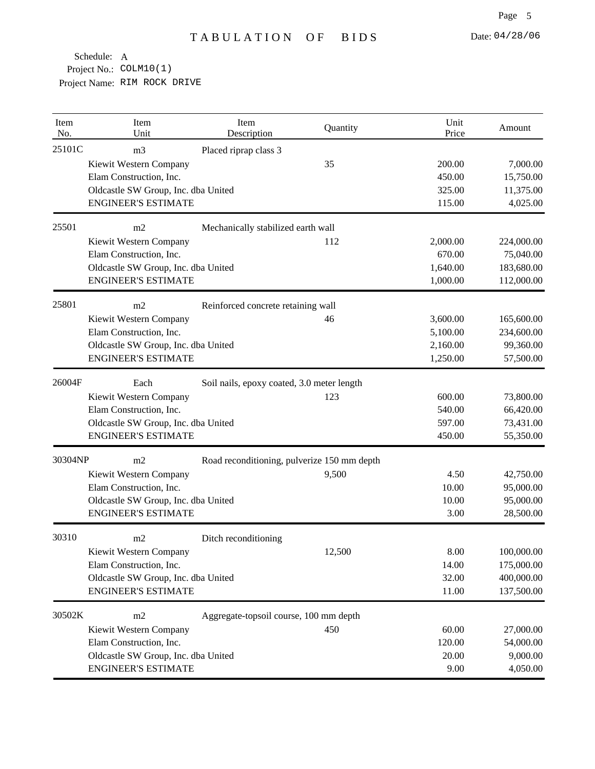| Item<br>No. | Item<br>Unit                        | Item<br>Description                         | Quantity | Unit<br>Price | Amount     |
|-------------|-------------------------------------|---------------------------------------------|----------|---------------|------------|
| 25101C      | m <sub>3</sub>                      | Placed riprap class 3                       |          |               |            |
|             | Kiewit Western Company              |                                             | 35       | 200.00        | 7,000.00   |
|             | Elam Construction, Inc.             |                                             |          | 450.00        | 15,750.00  |
|             | Oldcastle SW Group, Inc. dba United |                                             |          | 325.00        | 11,375.00  |
|             | <b>ENGINEER'S ESTIMATE</b>          |                                             |          | 115.00        | 4,025.00   |
| 25501       | m2                                  | Mechanically stabilized earth wall          |          |               |            |
|             | Kiewit Western Company              |                                             | 112      | 2,000.00      | 224,000.00 |
|             | Elam Construction, Inc.             |                                             |          | 670.00        | 75,040.00  |
|             | Oldcastle SW Group, Inc. dba United |                                             |          | 1,640.00      | 183,680.00 |
|             | <b>ENGINEER'S ESTIMATE</b>          |                                             |          | 1,000.00      | 112,000.00 |
| 25801       | m2                                  | Reinforced concrete retaining wall          |          |               |            |
|             | Kiewit Western Company              |                                             | 46       | 3,600.00      | 165,600.00 |
|             | Elam Construction, Inc.             |                                             |          | 5,100.00      | 234,600.00 |
|             | Oldcastle SW Group, Inc. dba United |                                             |          | 2,160.00      | 99,360.00  |
|             | <b>ENGINEER'S ESTIMATE</b>          |                                             |          | 1,250.00      | 57,500.00  |
| 26004F      | Each                                | Soil nails, epoxy coated, 3.0 meter length  |          |               |            |
|             | Kiewit Western Company              |                                             | 123      | 600.00        | 73,800.00  |
|             | Elam Construction, Inc.             |                                             |          | 540.00        | 66,420.00  |
|             | Oldcastle SW Group, Inc. dba United |                                             |          | 597.00        | 73,431.00  |
|             | <b>ENGINEER'S ESTIMATE</b>          |                                             |          | 450.00        | 55,350.00  |
| 30304NP     | m2                                  | Road reconditioning, pulverize 150 mm depth |          |               |            |
|             | Kiewit Western Company              |                                             | 9,500    | 4.50          | 42,750.00  |
|             | Elam Construction, Inc.             |                                             |          | 10.00         | 95,000.00  |
|             | Oldcastle SW Group, Inc. dba United |                                             |          | 10.00         | 95,000.00  |
|             | <b>ENGINEER'S ESTIMATE</b>          |                                             |          | 3.00          | 28,500.00  |
| 30310       | m2                                  | Ditch reconditioning                        |          |               |            |
|             | Kiewit Western Company              |                                             | 12,500   | 8.00          | 100,000.00 |
|             | Elam Construction, Inc.             |                                             |          | 14.00         | 175,000.00 |
|             | Oldcastle SW Group, Inc. dba United |                                             |          | 32.00         | 400,000.00 |
|             | <b>ENGINEER'S ESTIMATE</b>          |                                             |          | 11.00         | 137,500.00 |
| 30502K      | m2                                  | Aggregate-topsoil course, 100 mm depth      |          |               |            |
|             | Kiewit Western Company              |                                             | 450      | 60.00         | 27,000.00  |
|             | Elam Construction, Inc.             |                                             |          | 120.00        | 54,000.00  |
|             | Oldcastle SW Group, Inc. dba United |                                             |          | 20.00         | 9,000.00   |
|             | <b>ENGINEER'S ESTIMATE</b>          |                                             |          | 9.00          | 4,050.00   |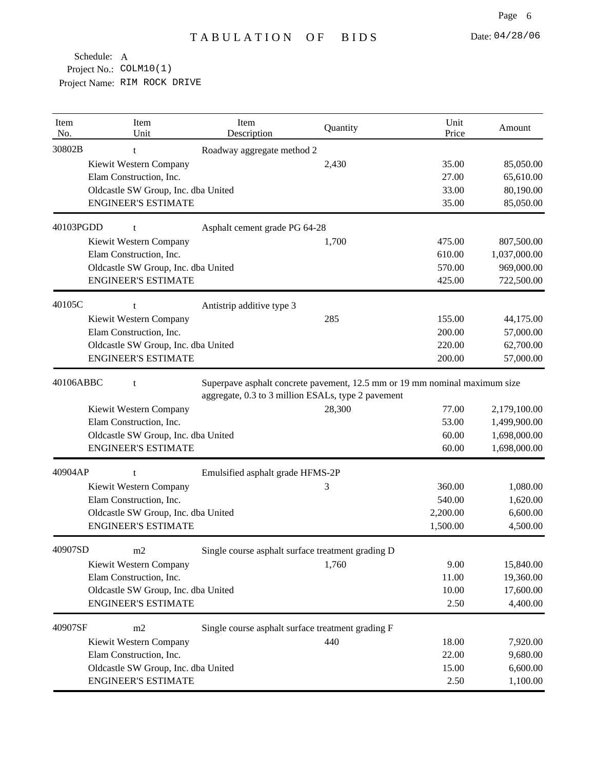| Item<br>No. | Item<br>Unit                        | Item<br>Description              | Quantity                                                                                                                         | Unit<br>Price | Amount       |
|-------------|-------------------------------------|----------------------------------|----------------------------------------------------------------------------------------------------------------------------------|---------------|--------------|
| 30802B      | t                                   | Roadway aggregate method 2       |                                                                                                                                  |               |              |
|             | Kiewit Western Company              |                                  | 2,430                                                                                                                            | 35.00         | 85,050.00    |
|             | Elam Construction, Inc.             |                                  |                                                                                                                                  | 27.00         | 65,610.00    |
|             | Oldcastle SW Group, Inc. dba United |                                  |                                                                                                                                  | 33.00         | 80,190.00    |
|             | <b>ENGINEER'S ESTIMATE</b>          |                                  |                                                                                                                                  | 35.00         | 85,050.00    |
| 40103PGDD   | t                                   | Asphalt cement grade PG 64-28    |                                                                                                                                  |               |              |
|             | Kiewit Western Company              |                                  | 1,700                                                                                                                            | 475.00        | 807,500.00   |
|             | Elam Construction, Inc.             |                                  |                                                                                                                                  | 610.00        | 1,037,000.00 |
|             | Oldcastle SW Group, Inc. dba United |                                  |                                                                                                                                  | 570.00        | 969,000.00   |
|             | <b>ENGINEER'S ESTIMATE</b>          |                                  |                                                                                                                                  | 425.00        | 722,500.00   |
| 40105C      | t                                   | Antistrip additive type 3        |                                                                                                                                  |               |              |
|             | Kiewit Western Company              |                                  | 285                                                                                                                              | 155.00        | 44,175.00    |
|             | Elam Construction, Inc.             |                                  |                                                                                                                                  | 200.00        | 57,000.00    |
|             | Oldcastle SW Group, Inc. dba United |                                  |                                                                                                                                  | 220.00        | 62,700.00    |
|             | <b>ENGINEER'S ESTIMATE</b>          |                                  |                                                                                                                                  | 200.00        | 57,000.00    |
| 40106ABBC   | t                                   |                                  | Superpave asphalt concrete pavement, 12.5 mm or 19 mm nominal maximum size<br>aggregate, 0.3 to 3 million ESALs, type 2 pavement |               |              |
|             | Kiewit Western Company              |                                  | 28,300                                                                                                                           | 77.00         | 2,179,100.00 |
|             | Elam Construction, Inc.             |                                  |                                                                                                                                  | 53.00         | 1,499,900.00 |
|             | Oldcastle SW Group, Inc. dba United |                                  |                                                                                                                                  | 60.00         | 1,698,000.00 |
|             | <b>ENGINEER'S ESTIMATE</b>          |                                  |                                                                                                                                  | 60.00         | 1,698,000.00 |
| 40904AP     | t                                   | Emulsified asphalt grade HFMS-2P |                                                                                                                                  |               |              |
|             | Kiewit Western Company              |                                  | 3                                                                                                                                | 360.00        | 1,080.00     |
|             | Elam Construction, Inc.             |                                  |                                                                                                                                  | 540.00        | 1,620.00     |
|             | Oldcastle SW Group, Inc. dba United |                                  |                                                                                                                                  | 2,200.00      | 6,600.00     |
|             | <b>ENGINEER'S ESTIMATE</b>          |                                  |                                                                                                                                  | 1,500.00      | 4,500.00     |
| 40907SD     | m2                                  |                                  | Single course asphalt surface treatment grading D                                                                                |               |              |
|             | Kiewit Western Company              |                                  | 1,760                                                                                                                            | 9.00          | 15,840.00    |
|             | Elam Construction, Inc.             |                                  |                                                                                                                                  | 11.00         | 19,360.00    |
|             | Oldcastle SW Group, Inc. dba United |                                  |                                                                                                                                  | 10.00         | 17,600.00    |
|             | <b>ENGINEER'S ESTIMATE</b>          |                                  |                                                                                                                                  | 2.50          | 4,400.00     |
| 40907SF     | m2                                  |                                  | Single course asphalt surface treatment grading F                                                                                |               |              |
|             | Kiewit Western Company              |                                  | 440                                                                                                                              | 18.00         | 7,920.00     |
|             | Elam Construction, Inc.             |                                  |                                                                                                                                  | 22.00         | 9,680.00     |
|             |                                     |                                  |                                                                                                                                  |               |              |
|             | Oldcastle SW Group, Inc. dba United |                                  |                                                                                                                                  | 15.00         | 6,600.00     |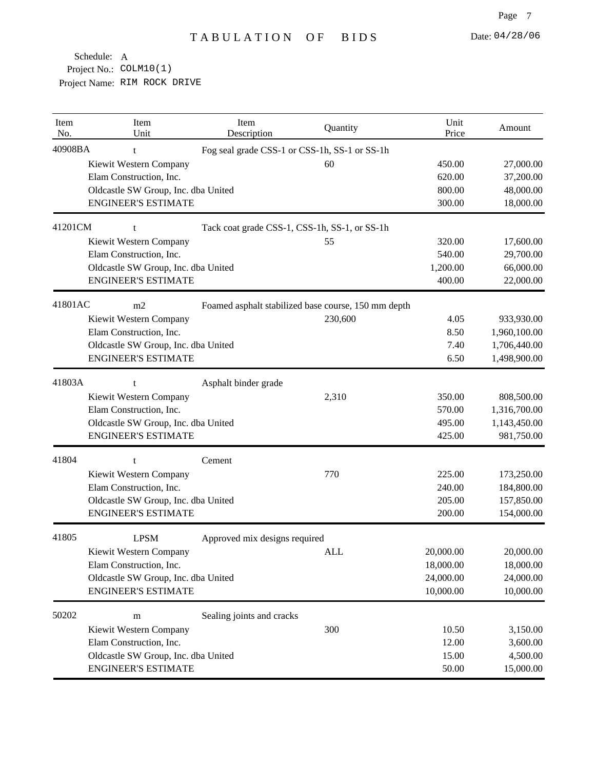| Item<br>No. | Item<br>Unit                        | Item<br>Description                                 | Quantity | Unit<br>Price | Amount       |
|-------------|-------------------------------------|-----------------------------------------------------|----------|---------------|--------------|
| 40908BA     | t                                   | Fog seal grade CSS-1 or CSS-1h, SS-1 or SS-1h       |          |               |              |
|             | Kiewit Western Company              |                                                     | 60       | 450.00        | 27,000.00    |
|             | Elam Construction, Inc.             |                                                     |          | 620.00        | 37,200.00    |
|             | Oldcastle SW Group, Inc. dba United |                                                     |          | 800.00        | 48,000.00    |
|             | <b>ENGINEER'S ESTIMATE</b>          |                                                     |          | 300.00        | 18,000.00    |
| 41201CM     | t                                   | Tack coat grade CSS-1, CSS-1h, SS-1, or SS-1h       |          |               |              |
|             | Kiewit Western Company              |                                                     | 55       | 320.00        | 17,600.00    |
|             | Elam Construction, Inc.             |                                                     |          | 540.00        | 29,700.00    |
|             | Oldcastle SW Group, Inc. dba United |                                                     |          | 1,200.00      | 66,000.00    |
|             | <b>ENGINEER'S ESTIMATE</b>          |                                                     |          | 400.00        | 22,000.00    |
| 41801AC     | m2                                  | Foamed asphalt stabilized base course, 150 mm depth |          |               |              |
|             | Kiewit Western Company              |                                                     | 230,600  | 4.05          | 933,930.00   |
|             | Elam Construction, Inc.             |                                                     |          | 8.50          | 1,960,100.00 |
|             | Oldcastle SW Group, Inc. dba United |                                                     |          | 7.40          | 1,706,440.00 |
|             | <b>ENGINEER'S ESTIMATE</b>          |                                                     |          | 6.50          | 1,498,900.00 |
| 41803A      | t                                   | Asphalt binder grade                                |          |               |              |
|             | Kiewit Western Company              |                                                     | 2,310    | 350.00        | 808,500.00   |
|             | Elam Construction, Inc.             |                                                     |          | 570.00        | 1,316,700.00 |
|             | Oldcastle SW Group, Inc. dba United |                                                     |          | 495.00        | 1,143,450.00 |
|             | <b>ENGINEER'S ESTIMATE</b>          |                                                     |          | 425.00        | 981,750.00   |
| 41804       | t                                   | Cement                                              |          |               |              |
|             | Kiewit Western Company              |                                                     | 770      | 225.00        | 173,250.00   |
|             | Elam Construction, Inc.             |                                                     |          | 240.00        | 184,800.00   |
|             | Oldcastle SW Group, Inc. dba United |                                                     |          | 205.00        | 157,850.00   |
|             | <b>ENGINEER'S ESTIMATE</b>          |                                                     |          | 200.00        | 154,000.00   |
| 41805       | <b>LPSM</b>                         | Approved mix designs required                       |          |               |              |
|             | Kiewit Western Company              |                                                     | ALL      | 20,000.00     | 20,000.00    |
|             | Elam Construction, Inc.             |                                                     |          | 18,000.00     | 18,000.00    |
|             | Oldcastle SW Group, Inc. dba United |                                                     |          | 24,000.00     | 24,000.00    |
|             | <b>ENGINEER'S ESTIMATE</b>          |                                                     |          | 10,000.00     | 10,000.00    |
| 50202       | m                                   | Sealing joints and cracks                           |          |               |              |
|             | Kiewit Western Company              |                                                     | 300      | 10.50         | 3,150.00     |
|             | Elam Construction, Inc.             |                                                     |          | 12.00         | 3,600.00     |
|             | Oldcastle SW Group, Inc. dba United |                                                     |          | 15.00         | 4,500.00     |
|             | <b>ENGINEER'S ESTIMATE</b>          |                                                     |          | 50.00         | 15,000.00    |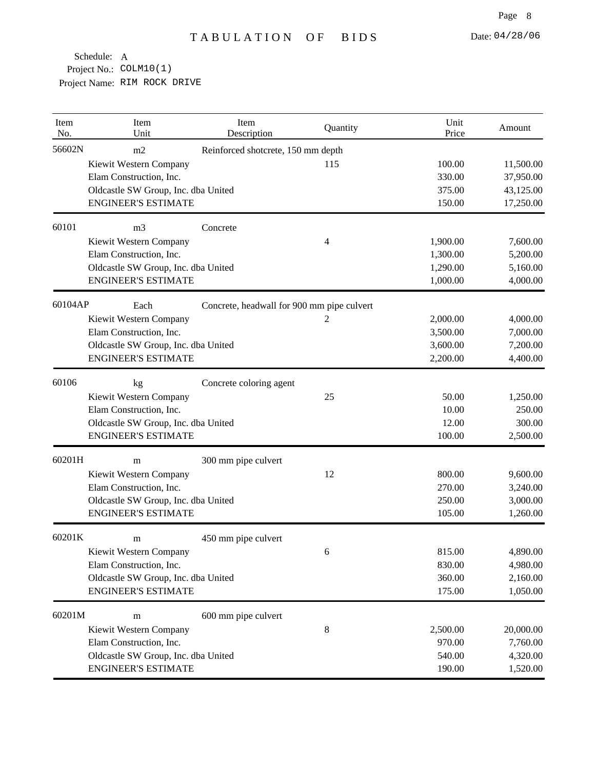| Item<br>No.                           | Item<br>Unit                        | Item<br>Description                        | Quantity | Unit<br>Price | Amount    |
|---------------------------------------|-------------------------------------|--------------------------------------------|----------|---------------|-----------|
| 56602N                                | m2                                  | Reinforced shotcrete, 150 mm depth         |          |               |           |
|                                       | Kiewit Western Company              |                                            | 115      | 100.00        | 11,500.00 |
|                                       | Elam Construction, Inc.             |                                            |          | 330.00        | 37,950.00 |
|                                       | Oldcastle SW Group, Inc. dba United |                                            |          | 375.00        | 43,125.00 |
|                                       | <b>ENGINEER'S ESTIMATE</b>          |                                            |          | 150.00        | 17,250.00 |
| 60101                                 | m <sub>3</sub>                      | Concrete                                   |          |               |           |
|                                       | Kiewit Western Company              |                                            | 4        | 1,900.00      | 7,600.00  |
|                                       | Elam Construction, Inc.             |                                            |          | 1,300.00      | 5,200.00  |
|                                       | Oldcastle SW Group, Inc. dba United |                                            |          | 1,290.00      | 5,160.00  |
|                                       | <b>ENGINEER'S ESTIMATE</b>          |                                            |          | 1,000.00      | 4,000.00  |
|                                       | Each                                | Concrete, headwall for 900 mm pipe culvert |          |               |           |
|                                       | Kiewit Western Company              |                                            | 2        | 2,000.00      | 4,000.00  |
|                                       | Elam Construction, Inc.             |                                            |          | 3,500.00      | 7,000.00  |
|                                       | Oldcastle SW Group, Inc. dba United |                                            |          | 3,600.00      | 7,200.00  |
|                                       | <b>ENGINEER'S ESTIMATE</b>          |                                            |          | 2,200.00      | 4,400.00  |
| 60106                                 | kg                                  | Concrete coloring agent                    |          |               |           |
|                                       | Kiewit Western Company              |                                            | 25       | 50.00         | 1,250.00  |
|                                       | Elam Construction, Inc.             |                                            |          | 10.00         | 250.00    |
|                                       | Oldcastle SW Group, Inc. dba United |                                            |          | 12.00         | 300.00    |
|                                       | <b>ENGINEER'S ESTIMATE</b>          |                                            |          | 100.00        | 2,500.00  |
|                                       | m                                   | 300 mm pipe culvert                        |          |               |           |
| 60104AP<br>60201H<br>60201K<br>60201M | Kiewit Western Company              |                                            | 12       | 800.00        | 9,600.00  |
|                                       | Elam Construction, Inc.             |                                            |          | 270.00        | 3,240.00  |
|                                       | Oldcastle SW Group, Inc. dba United |                                            |          | 250.00        | 3,000.00  |
|                                       | <b>ENGINEER'S ESTIMATE</b>          |                                            |          | 105.00        | 1,260.00  |
|                                       | m                                   | 450 mm pipe culvert                        |          |               |           |
|                                       | Kiewit Western Company              |                                            | 6        | 815.00        | 4,890.00  |
|                                       | Elam Construction, Inc.             |                                            |          | 830.00        | 4,980.00  |
|                                       | Oldcastle SW Group, Inc. dba United |                                            |          | 360.00        | 2,160.00  |
|                                       | <b>ENGINEER'S ESTIMATE</b>          |                                            |          | 175.00        | 1,050.00  |
|                                       | m                                   | 600 mm pipe culvert                        |          |               |           |
|                                       | Kiewit Western Company              |                                            | 8        | 2,500.00      | 20,000.00 |
|                                       | Elam Construction, Inc.             |                                            |          | 970.00        | 7,760.00  |
|                                       | Oldcastle SW Group, Inc. dba United |                                            |          | 540.00        | 4,320.00  |
|                                       | <b>ENGINEER'S ESTIMATE</b>          |                                            |          | 190.00        | 1,520.00  |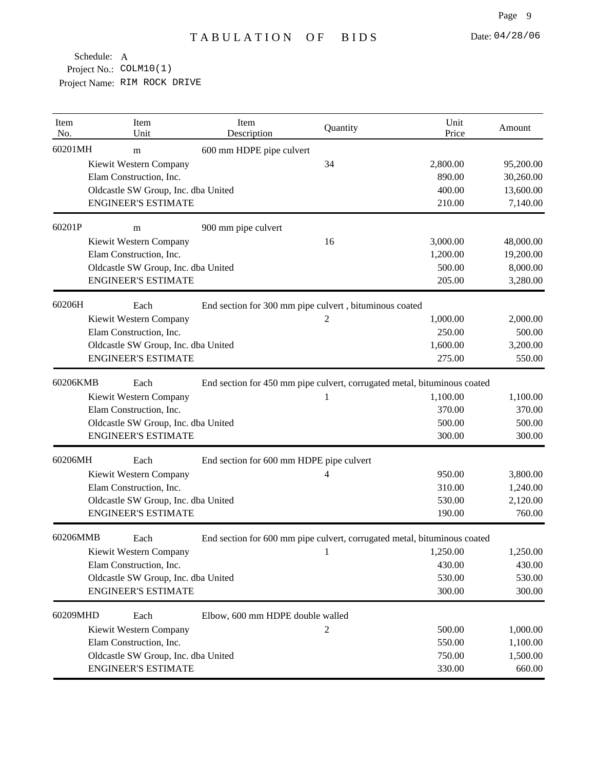| Item<br>No. | Item<br>Unit                        | Item<br>Description                      | Quantity                                                                                                       | Unit<br>Price | Amount    |
|-------------|-------------------------------------|------------------------------------------|----------------------------------------------------------------------------------------------------------------|---------------|-----------|
| 60201MH     | m                                   | 600 mm HDPE pipe culvert                 |                                                                                                                |               |           |
|             | Kiewit Western Company              |                                          | 34                                                                                                             | 2,800.00      | 95,200.00 |
|             | Elam Construction, Inc.             |                                          |                                                                                                                | 890.00        | 30,260.00 |
|             | Oldcastle SW Group, Inc. dba United |                                          |                                                                                                                | 400.00        | 13,600.00 |
|             | <b>ENGINEER'S ESTIMATE</b>          |                                          |                                                                                                                | 210.00        | 7,140.00  |
| 60201P      | m                                   | 900 mm pipe culvert                      |                                                                                                                |               |           |
|             | Kiewit Western Company              |                                          | 16                                                                                                             | 3,000.00      | 48,000.00 |
|             | Elam Construction, Inc.             |                                          |                                                                                                                | 1,200.00      | 19,200.00 |
|             | Oldcastle SW Group, Inc. dba United |                                          |                                                                                                                | 500.00        | 8,000.00  |
|             | <b>ENGINEER'S ESTIMATE</b>          |                                          |                                                                                                                | 205.00        | 3,280.00  |
| 60206H      | Each                                |                                          | End section for 300 mm pipe culvert, bituminous coated                                                         |               |           |
|             | Kiewit Western Company              |                                          | 2                                                                                                              | 1,000.00      | 2,000.00  |
|             | Elam Construction, Inc.             |                                          |                                                                                                                | 250.00        | 500.00    |
|             | Oldcastle SW Group, Inc. dba United |                                          |                                                                                                                | 1,600.00      | 3,200.00  |
|             | <b>ENGINEER'S ESTIMATE</b>          |                                          |                                                                                                                | 275.00        | 550.00    |
| 60206KMB    | Each                                |                                          | End section for 450 mm pipe culvert, corrugated metal, bituminous coated                                       |               |           |
|             | Kiewit Western Company              |                                          | 1                                                                                                              | 1,100.00      | 1,100.00  |
|             | Elam Construction, Inc.             |                                          |                                                                                                                | 370.00        | 370.00    |
|             | Oldcastle SW Group, Inc. dba United |                                          |                                                                                                                | 500.00        | 500.00    |
|             | <b>ENGINEER'S ESTIMATE</b>          |                                          |                                                                                                                | 300.00        | 300.00    |
| 60206MH     | Each                                | End section for 600 mm HDPE pipe culvert |                                                                                                                |               |           |
|             | Kiewit Western Company              |                                          | 4                                                                                                              | 950.00        | 3,800.00  |
|             | Elam Construction, Inc.             |                                          |                                                                                                                | 310.00        | 1,240.00  |
|             | Oldcastle SW Group, Inc. dba United |                                          |                                                                                                                | 530.00        | 2,120.00  |
|             | <b>ENGINEER'S ESTIMATE</b>          |                                          |                                                                                                                | 190.00        | 760.00    |
| 60206MMB    | Each                                |                                          | End section for 600 mm pipe culvert, corrugated metal, bituminous coated                                       |               |           |
|             | Kiewit Western Company              |                                          | $\sim$ 1 and 1 and 1 and 1 and 1 and 1 and 1 and 1 and 1 and 1 and 1 and 1 and 1 and 1 and 1 and 1 and 1 and 1 | 1,250.00      | 1,250.00  |
|             | Elam Construction, Inc.             |                                          |                                                                                                                | 430.00        | 430.00    |
|             | Oldcastle SW Group, Inc. dba United |                                          |                                                                                                                | 530.00        | 530.00    |
|             | <b>ENGINEER'S ESTIMATE</b>          |                                          |                                                                                                                | 300.00        | 300.00    |
| 60209MHD    | Each                                | Elbow, 600 mm HDPE double walled         |                                                                                                                |               |           |
|             | Kiewit Western Company              |                                          | 2                                                                                                              | 500.00        | 1,000.00  |
|             | Elam Construction, Inc.             |                                          |                                                                                                                | 550.00        | 1,100.00  |
|             | Oldcastle SW Group, Inc. dba United |                                          |                                                                                                                | 750.00        | 1,500.00  |
|             | <b>ENGINEER'S ESTIMATE</b>          |                                          |                                                                                                                | 330.00        | 660.00    |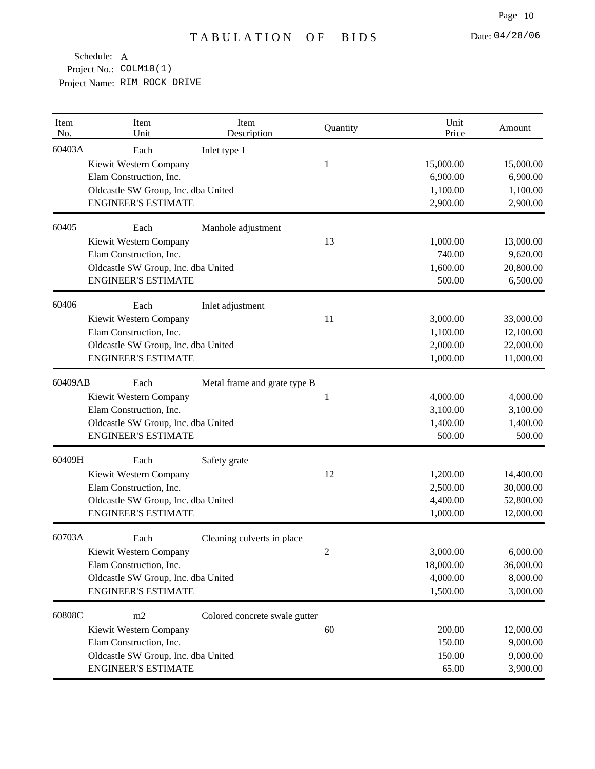| Item<br>No. | Item<br>Unit                        | Item<br>Description           | Quantity | Unit<br>Price | Amount    |
|-------------|-------------------------------------|-------------------------------|----------|---------------|-----------|
| 60403A      | Each                                | Inlet type 1                  |          |               |           |
|             | Kiewit Western Company              |                               | 1        | 15,000.00     | 15,000.00 |
|             | Elam Construction, Inc.             |                               |          | 6,900.00      | 6,900.00  |
|             | Oldcastle SW Group, Inc. dba United |                               |          | 1,100.00      | 1,100.00  |
|             | <b>ENGINEER'S ESTIMATE</b>          |                               |          | 2,900.00      | 2,900.00  |
| 60405       | Each                                | Manhole adjustment            |          |               |           |
|             | Kiewit Western Company              |                               | 13       | 1,000.00      | 13,000.00 |
|             | Elam Construction, Inc.             |                               |          | 740.00        | 9,620.00  |
|             | Oldcastle SW Group, Inc. dba United |                               |          | 1,600.00      | 20,800.00 |
|             | <b>ENGINEER'S ESTIMATE</b>          |                               |          | 500.00        | 6,500.00  |
| 60406       | Each                                | Inlet adjustment              |          |               |           |
|             | Kiewit Western Company              |                               | 11       | 3,000.00      | 33,000.00 |
|             | Elam Construction, Inc.             |                               |          | 1,100.00      | 12,100.00 |
|             | Oldcastle SW Group, Inc. dba United |                               |          | 2,000.00      | 22,000.00 |
|             | <b>ENGINEER'S ESTIMATE</b>          |                               |          | 1,000.00      | 11,000.00 |
| 60409AB     | Each                                | Metal frame and grate type B  |          |               |           |
|             | Kiewit Western Company              |                               | 1        | 4,000.00      | 4,000.00  |
|             | Elam Construction, Inc.             |                               |          | 3,100.00      | 3,100.00  |
|             | Oldcastle SW Group, Inc. dba United |                               |          | 1,400.00      | 1,400.00  |
|             | <b>ENGINEER'S ESTIMATE</b>          |                               |          | 500.00        | 500.00    |
| 60409H      | Each                                | Safety grate                  |          |               |           |
|             | Kiewit Western Company              |                               | 12       | 1,200.00      | 14,400.00 |
|             | Elam Construction, Inc.             |                               |          | 2,500.00      | 30,000.00 |
|             | Oldcastle SW Group, Inc. dba United |                               |          | 4,400.00      | 52,800.00 |
|             | <b>ENGINEER'S ESTIMATE</b>          |                               |          | 1,000.00      | 12,000.00 |
| 60703A      | Each                                | Cleaning culverts in place    |          |               |           |
|             | Kiewit Western Company              |                               |          | 3,000.00      | 6,000.00  |
|             | Elam Construction, Inc.             |                               |          | 18,000.00     | 36,000.00 |
|             | Oldcastle SW Group, Inc. dba United |                               |          | 4,000.00      | 8,000.00  |
|             | <b>ENGINEER'S ESTIMATE</b>          |                               |          | 1,500.00      | 3,000.00  |
| 60808C      | m2                                  | Colored concrete swale gutter |          |               |           |
|             | Kiewit Western Company              |                               | 60       | 200.00        | 12,000.00 |
|             | Elam Construction, Inc.             |                               |          | 150.00        | 9,000.00  |
|             | Oldcastle SW Group, Inc. dba United |                               |          | 150.00        | 9,000.00  |
|             | <b>ENGINEER'S ESTIMATE</b>          |                               |          | 65.00         | 3,900.00  |
|             |                                     |                               |          |               |           |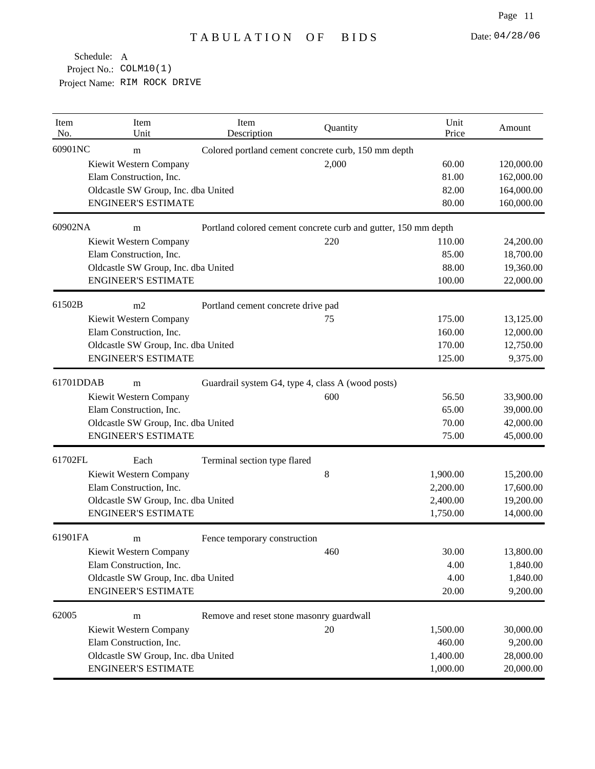| Item<br>No. | Item<br>Unit                        | Item<br>Description                                            | Quantity                                            | Unit<br>Price | Amount     |
|-------------|-------------------------------------|----------------------------------------------------------------|-----------------------------------------------------|---------------|------------|
| 60901NC     | m                                   |                                                                | Colored portland cement concrete curb, 150 mm depth |               |            |
|             | Kiewit Western Company              |                                                                | 2,000                                               | 60.00         | 120,000.00 |
|             | Elam Construction, Inc.             |                                                                |                                                     | 81.00         | 162,000.00 |
|             | Oldcastle SW Group, Inc. dba United |                                                                |                                                     | 82.00         | 164,000.00 |
|             | <b>ENGINEER'S ESTIMATE</b>          |                                                                |                                                     | 80.00         | 160,000.00 |
| 60902NA     | m                                   | Portland colored cement concrete curb and gutter, 150 mm depth |                                                     |               |            |
|             | Kiewit Western Company              |                                                                | 220                                                 | 110.00        | 24,200.00  |
|             | Elam Construction, Inc.             |                                                                |                                                     | 85.00         | 18,700.00  |
|             | Oldcastle SW Group, Inc. dba United |                                                                |                                                     | 88.00         | 19,360.00  |
|             | <b>ENGINEER'S ESTIMATE</b>          |                                                                |                                                     | 100.00        | 22,000.00  |
| 61502B      | m2                                  | Portland cement concrete drive pad                             |                                                     |               |            |
|             | Kiewit Western Company              |                                                                | 75                                                  | 175.00        | 13,125.00  |
|             | Elam Construction, Inc.             |                                                                |                                                     | 160.00        | 12,000.00  |
|             | Oldcastle SW Group, Inc. dba United |                                                                |                                                     | 170.00        | 12,750.00  |
|             | <b>ENGINEER'S ESTIMATE</b>          |                                                                |                                                     | 125.00        | 9,375.00   |
| 61701DDAB   | m                                   |                                                                | Guardrail system G4, type 4, class A (wood posts)   |               |            |
|             | Kiewit Western Company              |                                                                | 600                                                 | 56.50         | 33,900.00  |
|             | Elam Construction, Inc.             |                                                                |                                                     | 65.00         | 39,000.00  |
|             | Oldcastle SW Group, Inc. dba United |                                                                |                                                     | 70.00         | 42,000.00  |
|             | <b>ENGINEER'S ESTIMATE</b>          |                                                                |                                                     | 75.00         | 45,000.00  |
| 61702FL     | Each                                | Terminal section type flared                                   |                                                     |               |            |
|             | Kiewit Western Company              |                                                                | $\,8$                                               | 1,900.00      | 15,200.00  |
|             | Elam Construction, Inc.             |                                                                |                                                     | 2,200.00      | 17,600.00  |
|             | Oldcastle SW Group, Inc. dba United |                                                                |                                                     | 2,400.00      | 19,200.00  |
|             | <b>ENGINEER'S ESTIMATE</b>          |                                                                |                                                     | 1,750.00      | 14,000.00  |
| 61901FA     | m                                   | Fence temporary construction                                   |                                                     |               |            |
|             | Kiewit Western Company              |                                                                | 460                                                 | 30.00         | 13,800.00  |
|             | Elam Construction, Inc.             |                                                                |                                                     | 4.00          | 1,840.00   |
|             | Oldcastle SW Group, Inc. dba United |                                                                |                                                     | 4.00          | 1,840.00   |
|             | <b>ENGINEER'S ESTIMATE</b>          |                                                                |                                                     | 20.00         | 9,200.00   |
| 62005       | m                                   | Remove and reset stone masonry guardwall                       |                                                     |               |            |
|             | Kiewit Western Company              |                                                                | 20                                                  | 1,500.00      | 30,000.00  |
|             | Elam Construction, Inc.             |                                                                |                                                     | 460.00        | 9,200.00   |
|             | Oldcastle SW Group, Inc. dba United |                                                                |                                                     | 1,400.00      | 28,000.00  |
|             | <b>ENGINEER'S ESTIMATE</b>          |                                                                |                                                     | 1,000.00      | 20,000.00  |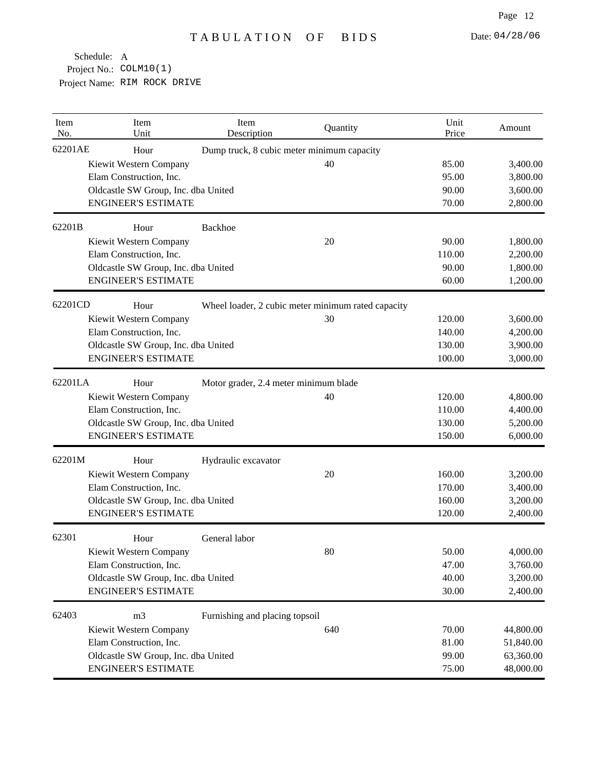| Item<br>No. | Item<br>Unit                        | Item<br>Description                        | Quantity                                           | Unit<br>Price | Amount    |
|-------------|-------------------------------------|--------------------------------------------|----------------------------------------------------|---------------|-----------|
| 62201AE     | Hour                                | Dump truck, 8 cubic meter minimum capacity |                                                    |               |           |
|             | Kiewit Western Company              |                                            | 40                                                 | 85.00         | 3,400.00  |
|             | Elam Construction, Inc.             |                                            |                                                    | 95.00         | 3,800.00  |
|             | Oldcastle SW Group, Inc. dba United |                                            |                                                    | 90.00         | 3,600.00  |
|             | <b>ENGINEER'S ESTIMATE</b>          |                                            |                                                    | 70.00         | 2,800.00  |
| 62201B      | Hour                                | <b>Backhoe</b>                             |                                                    |               |           |
|             | Kiewit Western Company              |                                            | 20                                                 | 90.00         | 1,800.00  |
|             | Elam Construction, Inc.             |                                            |                                                    | 110.00        | 2,200.00  |
|             | Oldcastle SW Group, Inc. dba United |                                            |                                                    | 90.00         | 1,800.00  |
|             | <b>ENGINEER'S ESTIMATE</b>          |                                            |                                                    | 60.00         | 1,200.00  |
| 62201CD     | Hour                                |                                            | Wheel loader, 2 cubic meter minimum rated capacity |               |           |
|             | Kiewit Western Company              |                                            | 30                                                 | 120.00        | 3,600.00  |
|             | Elam Construction, Inc.             |                                            |                                                    | 140.00        | 4,200.00  |
|             | Oldcastle SW Group, Inc. dba United |                                            |                                                    | 130.00        | 3,900.00  |
|             | <b>ENGINEER'S ESTIMATE</b>          |                                            |                                                    | 100.00        | 3,000.00  |
| 62201LA     | Hour                                | Motor grader, 2.4 meter minimum blade      |                                                    |               |           |
|             | Kiewit Western Company              |                                            | 40                                                 | 120.00        | 4,800.00  |
|             | Elam Construction, Inc.             |                                            |                                                    | 110.00        | 4,400.00  |
|             | Oldcastle SW Group, Inc. dba United |                                            |                                                    | 130.00        | 5,200.00  |
|             | <b>ENGINEER'S ESTIMATE</b>          |                                            |                                                    | 150.00        | 6,000.00  |
| 62201M      | Hour                                | Hydraulic excavator                        |                                                    |               |           |
|             | Kiewit Western Company              |                                            | 20                                                 | 160.00        | 3,200.00  |
|             | Elam Construction, Inc.             |                                            |                                                    | 170.00        | 3,400.00  |
|             | Oldcastle SW Group, Inc. dba United |                                            |                                                    | 160.00        | 3,200.00  |
|             | <b>ENGINEER'S ESTIMATE</b>          |                                            |                                                    | 120.00        | 2,400.00  |
| 62301       | Hour                                | General labor                              |                                                    |               |           |
|             | Kiewit Western Company              |                                            | 80                                                 | 50.00         | 4,000.00  |
|             | Elam Construction, Inc.             |                                            |                                                    | 47.00         | 3,760.00  |
|             | Oldcastle SW Group, Inc. dba United |                                            |                                                    | 40.00         | 3,200.00  |
|             | <b>ENGINEER'S ESTIMATE</b>          |                                            |                                                    | 30.00         | 2,400.00  |
| 62403       | m <sub>3</sub>                      | Furnishing and placing topsoil             |                                                    |               |           |
|             | Kiewit Western Company              |                                            | 640                                                | 70.00         | 44,800.00 |
|             | Elam Construction, Inc.             |                                            |                                                    | 81.00         | 51,840.00 |
|             | Oldcastle SW Group, Inc. dba United |                                            |                                                    | 99.00         | 63,360.00 |
|             | <b>ENGINEER'S ESTIMATE</b>          |                                            |                                                    | 75.00         | 48,000.00 |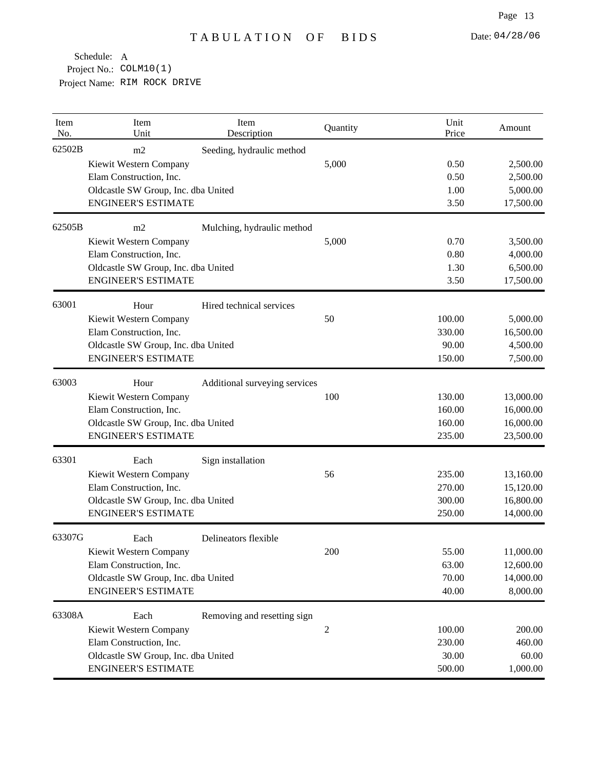| Item<br>No. | Item<br>Unit                        | Item<br>Description           | Quantity       | Unit<br>Price | Amount    |
|-------------|-------------------------------------|-------------------------------|----------------|---------------|-----------|
| 62502B      | m2<br>Kiewit Western Company        | Seeding, hydraulic method     | 5,000          | 0.50          | 2,500.00  |
|             | Elam Construction, Inc.             |                               |                | 0.50          | 2,500.00  |
|             | Oldcastle SW Group, Inc. dba United |                               |                | 1.00          | 5,000.00  |
|             | <b>ENGINEER'S ESTIMATE</b>          |                               |                | 3.50          | 17,500.00 |
| 62505B      | m2                                  | Mulching, hydraulic method    |                |               |           |
|             | Kiewit Western Company              |                               | 5,000          | 0.70          | 3,500.00  |
|             | Elam Construction, Inc.             |                               |                | 0.80          | 4,000.00  |
|             | Oldcastle SW Group, Inc. dba United |                               |                | 1.30          | 6,500.00  |
|             | <b>ENGINEER'S ESTIMATE</b>          |                               |                | 3.50          | 17,500.00 |
| 63001       | Hour                                | Hired technical services      |                |               |           |
|             | Kiewit Western Company              |                               | 50             | 100.00        | 5,000.00  |
|             | Elam Construction, Inc.             |                               |                | 330.00        | 16,500.00 |
|             | Oldcastle SW Group, Inc. dba United |                               |                | 90.00         | 4,500.00  |
|             | <b>ENGINEER'S ESTIMATE</b>          |                               |                | 150.00        | 7,500.00  |
| 63003       | Hour                                | Additional surveying services |                |               |           |
|             | Kiewit Western Company              |                               | 100            | 130.00        | 13,000.00 |
|             | Elam Construction, Inc.             |                               |                | 160.00        | 16,000.00 |
|             | Oldcastle SW Group, Inc. dba United |                               |                | 160.00        | 16,000.00 |
|             | <b>ENGINEER'S ESTIMATE</b>          |                               |                | 235.00        | 23,500.00 |
| 63301       | Each                                | Sign installation             |                |               |           |
|             | Kiewit Western Company              |                               | 56             | 235.00        | 13,160.00 |
|             | Elam Construction, Inc.             |                               |                | 270.00        | 15,120.00 |
|             | Oldcastle SW Group, Inc. dba United |                               |                | 300.00        | 16,800.00 |
|             | <b>ENGINEER'S ESTIMATE</b>          |                               |                | 250.00        | 14,000.00 |
| 63307G      | Each                                | Delineators flexible          |                |               |           |
|             | Kiewit Western Company              |                               | 200            | 55.00         | 11,000.00 |
|             | Elam Construction, Inc.             |                               |                | 63.00         | 12,600.00 |
|             | Oldcastle SW Group, Inc. dba United |                               |                | 70.00         | 14,000.00 |
|             | <b>ENGINEER'S ESTIMATE</b>          |                               |                | 40.00         | 8,000.00  |
| 63308A      | Each                                | Removing and resetting sign   |                |               |           |
|             | Kiewit Western Company              |                               | $\overline{c}$ | 100.00        | 200.00    |
|             | Elam Construction, Inc.             |                               |                | 230.00        | 460.00    |
|             | Oldcastle SW Group, Inc. dba United |                               |                | 30.00         | 60.00     |
|             | <b>ENGINEER'S ESTIMATE</b>          |                               |                | 500.00        | 1,000.00  |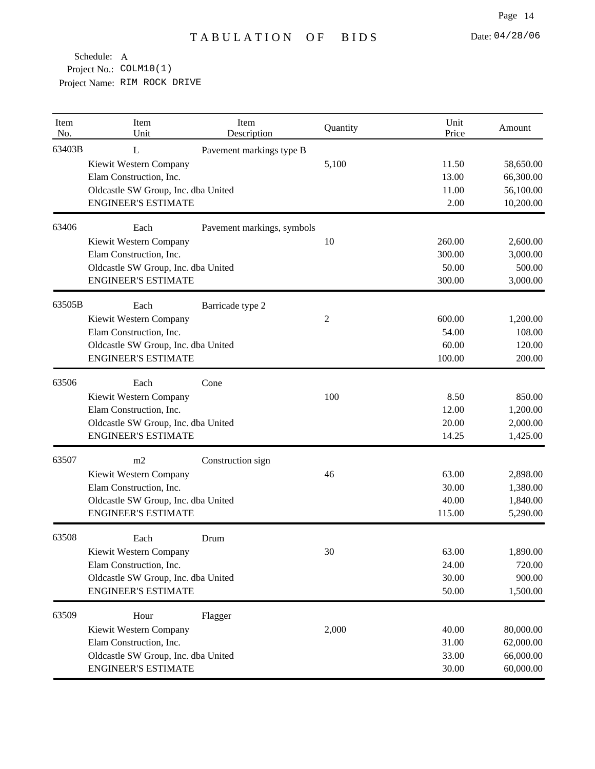| Item<br>No. | Item<br>Unit                                                      | Item<br>Description                 | Quantity | Unit<br>Price   | Amount                 |
|-------------|-------------------------------------------------------------------|-------------------------------------|----------|-----------------|------------------------|
| 63403B      | L<br>Kiewit Western Company<br>Elam Construction, Inc.            | Pavement markings type B            | 5,100    | 11.50<br>13.00  | 58,650.00<br>66,300.00 |
|             | <b>ENGINEER'S ESTIMATE</b>                                        | Oldcastle SW Group, Inc. dba United |          | 11.00<br>2.00   | 56,100.00<br>10,200.00 |
| 63406       | Each                                                              | Pavement markings, symbols          |          |                 |                        |
|             | Kiewit Western Company                                            |                                     | 10       | 260.00          | 2,600.00               |
|             | Elam Construction, Inc.                                           |                                     |          | 300.00          | 3,000.00               |
|             | Oldcastle SW Group, Inc. dba United<br><b>ENGINEER'S ESTIMATE</b> |                                     |          | 50.00<br>300.00 | 500.00<br>3,000.00     |
| 63505B      | Each                                                              | Barricade type 2                    |          |                 |                        |
|             | Kiewit Western Company                                            |                                     | 2        | 600.00          | 1,200.00               |
|             | Elam Construction, Inc.                                           |                                     |          | 54.00           | 108.00                 |
|             | Oldcastle SW Group, Inc. dba United                               |                                     |          | 60.00           | 120.00                 |
|             | <b>ENGINEER'S ESTIMATE</b>                                        |                                     |          | 100.00          | 200.00                 |
| 63506       | Each                                                              | Cone                                |          |                 |                        |
|             | Kiewit Western Company                                            |                                     | 100      | 8.50            | 850.00                 |
|             | Elam Construction, Inc.                                           |                                     |          | 12.00           | 1,200.00               |
|             | Oldcastle SW Group, Inc. dba United                               |                                     |          | 20.00           | 2,000.00               |
|             | <b>ENGINEER'S ESTIMATE</b>                                        |                                     |          | 14.25           | 1,425.00               |
| 63507       | m2                                                                | Construction sign                   |          |                 |                        |
|             | Kiewit Western Company                                            |                                     | 46       | 63.00           | 2,898.00               |
|             | Elam Construction, Inc.                                           |                                     |          | 30.00           | 1,380.00               |
|             | Oldcastle SW Group, Inc. dba United                               |                                     |          | 40.00           | 1,840.00               |
|             | <b>ENGINEER'S ESTIMATE</b>                                        |                                     |          | 115.00          | 5,290.00               |
| 63508       | Each                                                              | Drum                                |          |                 |                        |
|             | Kiewit Western Company                                            |                                     | 30       | 63.00           | 1,890.00               |
|             | Elam Construction, Inc.<br>Oldcastle SW Group, Inc. dba United    |                                     |          | 24.00<br>30.00  | 720.00<br>900.00       |
|             | <b>ENGINEER'S ESTIMATE</b>                                        |                                     |          | 50.00           | 1,500.00               |
| 63509       | Hour                                                              | Flagger                             |          |                 |                        |
|             | Kiewit Western Company                                            |                                     | 2,000    | 40.00           | 80,000.00              |
|             | Elam Construction, Inc.                                           |                                     |          | 31.00           | 62,000.00              |
|             | Oldcastle SW Group, Inc. dba United                               |                                     |          | 33.00           | 66,000.00              |
|             | <b>ENGINEER'S ESTIMATE</b>                                        |                                     |          | 30.00           | 60,000.00              |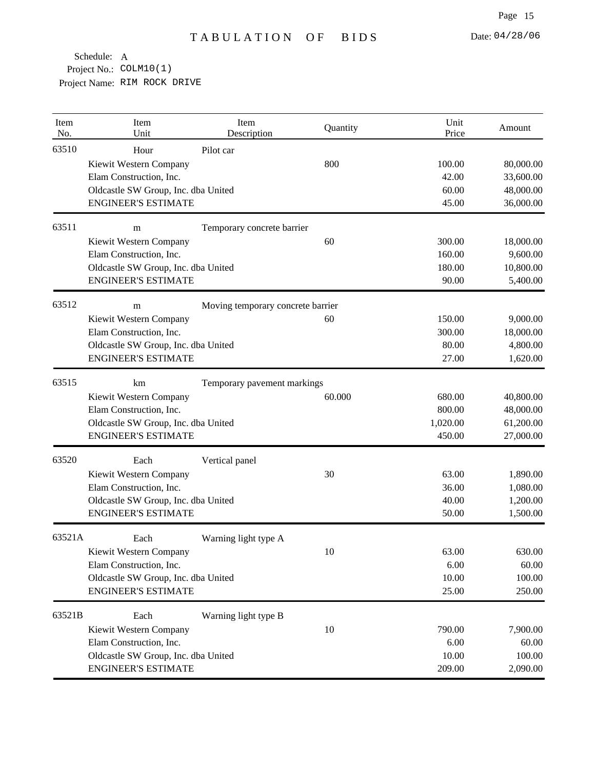| Item<br>No. | Item<br>Unit                        | Item<br>Description               | Quantity | Unit<br>Price | Amount    |
|-------------|-------------------------------------|-----------------------------------|----------|---------------|-----------|
| 63510       | Hour                                | Pilot car                         |          |               |           |
|             | Kiewit Western Company              |                                   | 800      | 100.00        | 80,000.00 |
|             | Elam Construction, Inc.             |                                   |          | 42.00         | 33,600.00 |
|             | Oldcastle SW Group, Inc. dba United |                                   |          | 60.00         | 48,000.00 |
|             | <b>ENGINEER'S ESTIMATE</b>          |                                   |          | 45.00         | 36,000.00 |
| 63511       | m                                   | Temporary concrete barrier        |          |               |           |
|             | Kiewit Western Company              |                                   | 60       | 300.00        | 18,000.00 |
|             | Elam Construction, Inc.             |                                   |          | 160.00        | 9,600.00  |
|             | Oldcastle SW Group, Inc. dba United |                                   |          | 180.00        | 10,800.00 |
|             | <b>ENGINEER'S ESTIMATE</b>          |                                   |          | 90.00         | 5,400.00  |
| 63512       | m                                   | Moving temporary concrete barrier |          |               |           |
|             | Kiewit Western Company              |                                   | 60       | 150.00        | 9,000.00  |
|             | Elam Construction, Inc.             |                                   |          | 300.00        | 18,000.00 |
|             | Oldcastle SW Group, Inc. dba United |                                   |          | 80.00         | 4,800.00  |
|             | <b>ENGINEER'S ESTIMATE</b>          |                                   |          | 27.00         | 1,620.00  |
| 63515       | km<br>Temporary pavement markings   |                                   |          |               |           |
|             | Kiewit Western Company              |                                   | 60.000   | 680.00        | 40,800.00 |
|             | Elam Construction, Inc.             |                                   |          | 800.00        | 48,000.00 |
|             | Oldcastle SW Group, Inc. dba United |                                   |          | 1,020.00      | 61,200.00 |
|             | <b>ENGINEER'S ESTIMATE</b>          |                                   |          | 450.00        | 27,000.00 |
| 63520       | Each                                | Vertical panel                    |          |               |           |
|             | Kiewit Western Company              |                                   | 30       | 63.00         | 1,890.00  |
|             | Elam Construction, Inc.             |                                   |          | 36.00         | 1,080.00  |
|             | Oldcastle SW Group, Inc. dba United |                                   |          | 40.00         | 1,200.00  |
|             | <b>ENGINEER'S ESTIMATE</b>          |                                   |          | 50.00         | 1,500.00  |
| 63521A      | Each                                | Warning light type A              |          |               |           |
|             | Kiewit Western Company              |                                   | 10       | 63.00         | 630.00    |
|             | Elam Construction, Inc.             |                                   |          | 6.00          | 60.00     |
|             | Oldcastle SW Group, Inc. dba United |                                   |          | 10.00         | 100.00    |
|             | <b>ENGINEER'S ESTIMATE</b>          |                                   |          | 25.00         | 250.00    |
| 63521B      | Each                                | Warning light type B              |          |               |           |
|             | Kiewit Western Company              |                                   | 10       | 790.00        | 7,900.00  |
|             | Elam Construction, Inc.             |                                   |          | 6.00          | 60.00     |
|             | Oldcastle SW Group, Inc. dba United |                                   |          | 10.00         | 100.00    |
|             | <b>ENGINEER'S ESTIMATE</b>          |                                   |          | 209.00        | 2,090.00  |